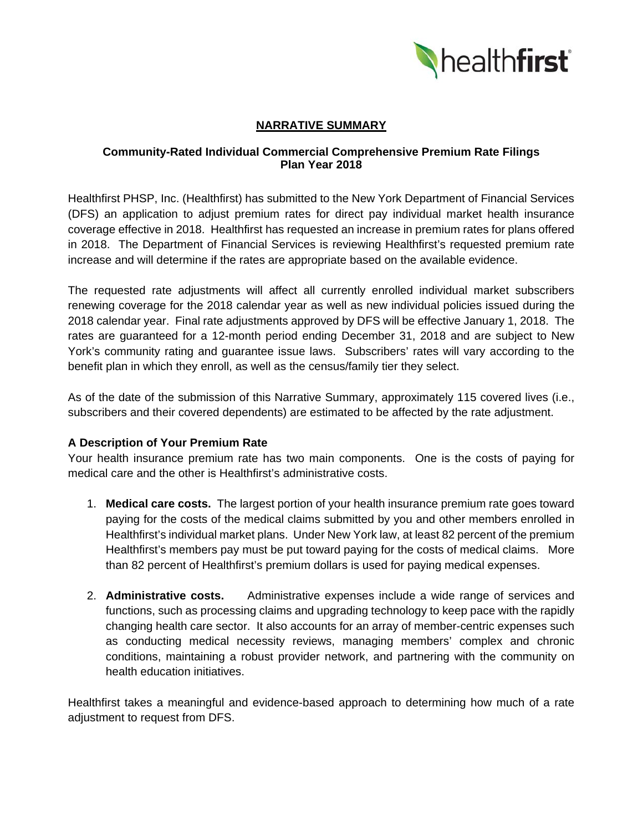

# **NARRATIVE SUMMARY**

### **Community-Rated Individual Commercial Comprehensive Premium Rate Filings Plan Year 2018**

Healthfirst PHSP, Inc. (Healthfirst) has submitted to the New York Department of Financial Services (DFS) an application to adjust premium rates for direct pay individual market health insurance coverage effective in 2018. Healthfirst has requested an increase in premium rates for plans offered in 2018. The Department of Financial Services is reviewing Healthfirst's requested premium rate increase and will determine if the rates are appropriate based on the available evidence.

The requested rate adjustments will affect all currently enrolled individual market subscribers renewing coverage for the 2018 calendar year as well as new individual policies issued during the 2018 calendar year. Final rate adjustments approved by DFS will be effective January 1, 2018. The rates are guaranteed for a 12-month period ending December 31, 2018 and are subject to New York's community rating and guarantee issue laws. Subscribers' rates will vary according to the benefit plan in which they enroll, as well as the census/family tier they select.

As of the date of the submission of this Narrative Summary, approximately 115 covered lives (i.e., subscribers and their covered dependents) are estimated to be affected by the rate adjustment.

### **A Description of Your Premium Rate**

Your health insurance premium rate has two main components. One is the costs of paying for medical care and the other is Healthfirst's administrative costs.

- 1. **Medical care costs.** The largest portion of your health insurance premium rate goes toward paying for the costs of the medical claims submitted by you and other members enrolled in Healthfirst's individual market plans. Under New York law, at least 82 percent of the premium Healthfirst's members pay must be put toward paying for the costs of medical claims. More than 82 percent of Healthfirst's premium dollars is used for paying medical expenses.
- 2. **Administrative costs.** Administrative expenses include a wide range of services and functions, such as processing claims and upgrading technology to keep pace with the rapidly changing health care sector. It also accounts for an array of member-centric expenses such as conducting medical necessity reviews, managing members' complex and chronic conditions, maintaining a robust provider network, and partnering with the community on health education initiatives.

Healthfirst takes a meaningful and evidence-based approach to determining how much of a rate adjustment to request from DFS.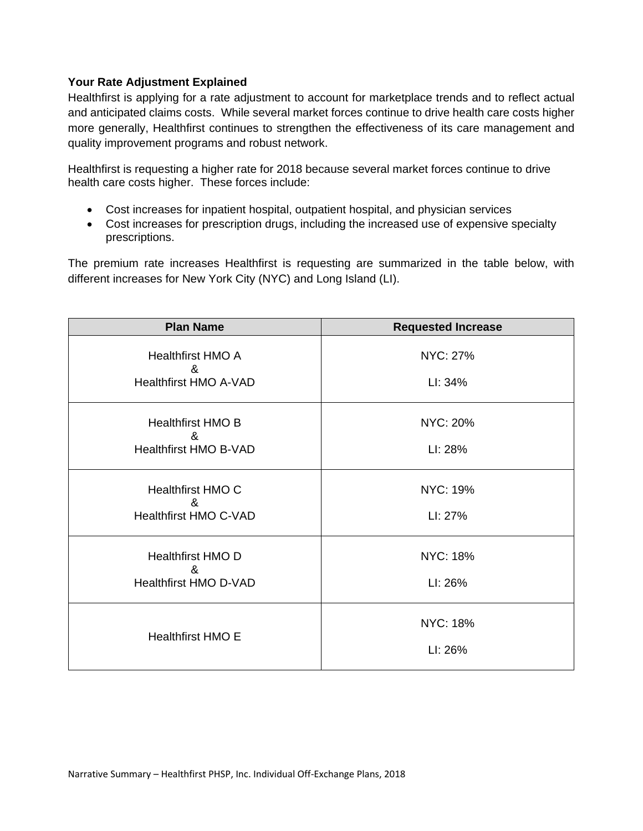### **Your Rate Adjustment Explained**

Healthfirst is applying for a rate adjustment to account for marketplace trends and to reflect actual and anticipated claims costs. While several market forces continue to drive health care costs higher more generally, Healthfirst continues to strengthen the effectiveness of its care management and quality improvement programs and robust network.

Healthfirst is requesting a higher rate for 2018 because several market forces continue to drive health care costs higher. These forces include:

- Cost increases for inpatient hospital, outpatient hospital, and physician services
- Cost increases for prescription drugs, including the increased use of expensive specialty prescriptions.

The premium rate increases Healthfirst is requesting are summarized in the table below, with different increases for New York City (NYC) and Long Island (LI).

| <b>Plan Name</b>                                                                       | <b>Requested Increase</b>  |
|----------------------------------------------------------------------------------------|----------------------------|
| <b>Healthfirst HMO A</b><br>&<br><b>Healthfirst HMO A-VAD</b>                          | <b>NYC: 27%</b><br>LI: 34% |
| <b>Healthfirst HMO B</b><br>&<br>Healthfirst HMO B-VAD                                 | <b>NYC: 20%</b><br>LI: 28% |
| <b>Healthfirst HMO C</b><br>$\boldsymbol{\mathcal{R}}$<br><b>Healthfirst HMO C-VAD</b> | NYC: 19%<br>LI: 27%        |
| <b>Healthfirst HMO D</b><br>&<br><b>Healthfirst HMO D-VAD</b>                          | <b>NYC: 18%</b><br>LI: 26% |
| <b>Healthfirst HMO E</b>                                                               | <b>NYC: 18%</b><br>LI: 26% |